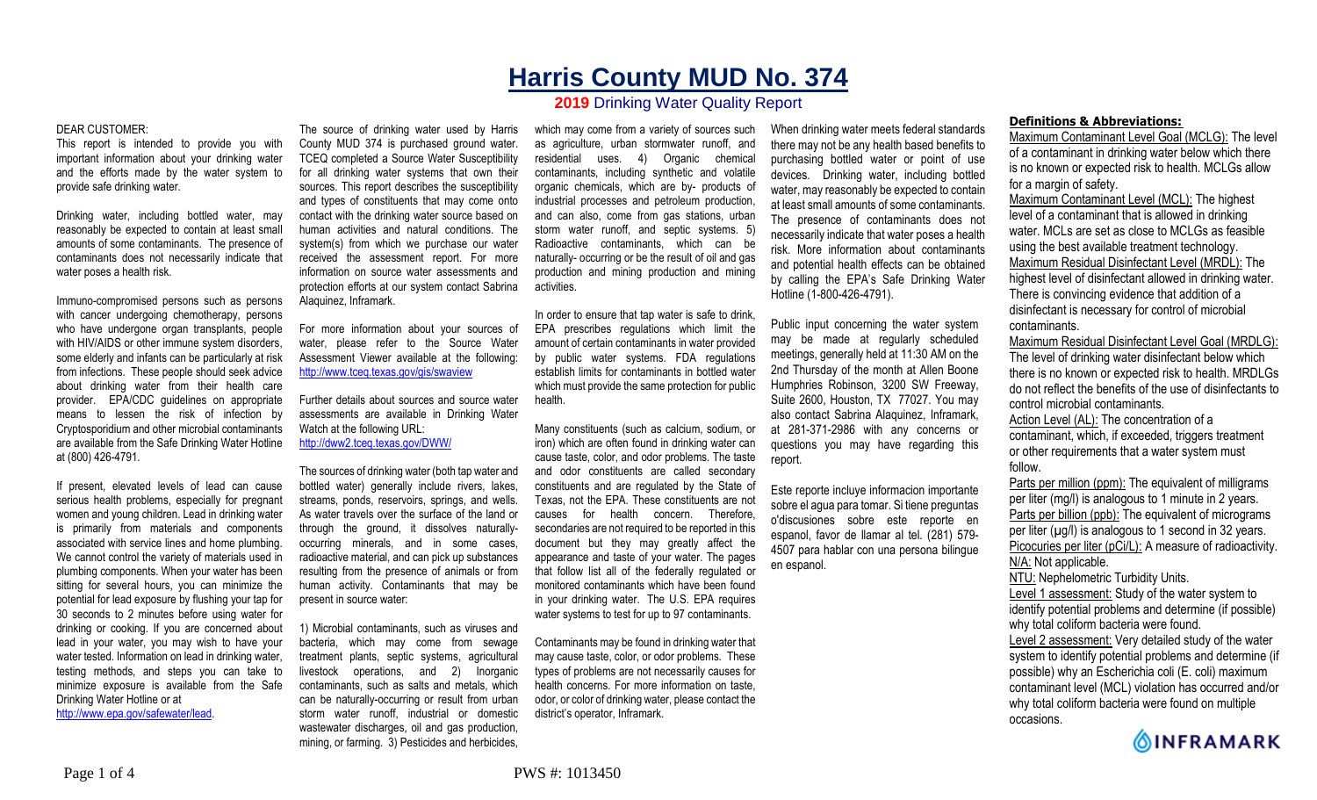# **Harris County MUD No. 374**

## **2019** Drinking Water Quality Report

#### DEAR CUSTOMER:

This report is intended to provide you with important information about your drinking water and the efforts made by the water system to provide safe drinking water.

Drinking water, including bottled water, may reasonably be expected to contain at least small amounts of some contaminants. The presence of contaminants does not necessarily indicate that water poses a health risk.

Immuno-compromised persons such as persons with cancer undergoing chemotherapy, persons who have undergone organ transplants, people with HIV/AIDS or other immune system disorders, some elderly and infants can be particularly at risk from infections. These people should seek advice about drinking water from their health care provider. EPA/CDC guidelines on appropriate means to lessen the risk of infection by Cryptosporidium and other microbial contaminants are available from the Safe Drinking Water Hotline at (800) 426-4791.

If present, elevated levels of lead can cause serious health problems, especially for pregnant women and young children. Lead in drinking water is primarily from materials and components associated with service lines and home plumbing. We cannot control the variety of materials used in plumbing components. When your water has been sitting for several hours, you can minimize the potential for lead exposure by flushing your tap for 30 seconds to 2 minutes before using water for drinking or cooking. If you are concerned about lead in your water, you may wish to have your water tested. Information on lead in drinking water, testing methods, and steps you can take to minimize exposure is available from the Safe Drinking Water Hotline or at http://www.epa.gov/safewater/lead.

The source of drinking water used by Harris County MUD 374 is purchased ground water. TCEQ completed a Source Water Susceptibility for all drinking water systems that own their sources. This report describes the susceptibility and types of constituents that may come onto contact with the drinking water source based on human activities and natural conditions. The system(s) from which we purchase our water received the assessment report. For more information on source water assessments and protection efforts at our system contact Sabrina Alaquinez, Inframark.

For more information about your sources of water, please refer to the Source Water Assessment Viewer available at the following: http://www.tceq.texas.gov/gis/swaview

Further details about sources and source water assessments are available in Drinking Water Watch at the following URL: http://dww2.tceq.texas.gov/DWW/

The sources of drinking water (both tap water and bottled water) generally include rivers, lakes, streams, ponds, reservoirs, springs, and wells. As water travels over the surface of the land or through the ground, it dissolves naturallyoccurring minerals, and in some cases, radioactive material, and can pick up substances resulting from the presence of animals or from human activity. Contaminants that may be present in source water:

1) Microbial contaminants, such as viruses and bacteria, which may come from sewage treatment plants, septic systems, agricultural livestock operations, and 2) Inorganic contaminants, such as salts and metals, which can be naturally-occurring or result from urban storm water runoff, industrial or domestic wastewater discharges, oil and gas production, mining, or farming. 3) Pesticides and herbicides,

which may come from a variety of sources such as agriculture, urban stormwater runoff, and residential uses. 4) Organic chemical contaminants, including synthetic and volatile organic chemicals, which are by- products of industrial processes and petroleum production, and can also, come from gas stations, urban storm water runoff, and septic systems. 5) Radioactive contaminants, which can be naturally- occurring or be the result of oil and gas production and mining production and mining activities.

In order to ensure that tap water is safe to drink, EPA prescribes regulations which limit the amount of certain contaminants in water provided by public water systems. FDA regulations establish limits for contaminants in bottled water which must provide the same protection for public health.

Many constituents (such as calcium, sodium, or iron) which are often found in drinking water can cause taste, color, and odor problems. The taste and odor constituents are called secondary constituents and are regulated by the State of Texas, not the EPA. These constituents are not causes for health concern. Therefore, secondaries are not required to be reported in this document but they may greatly affect the appearance and taste of your water. The pages that follow list all of the federally regulated or monitored contaminants which have been found in your drinking water. The U.S. EPA requires water systems to test for up to 97 contaminants.

Contaminants may be found in drinking water that may cause taste, color, or odor problems. These types of problems are not necessarily causes for health concerns. For more information on taste, odor, or color of drinking water, please contact the district's operator, Inframark.

When drinking water meets federal standards there may not be any health based benefits to purchasing bottled water or point of use devices. Drinking water, including bottled water, may reasonably be expected to contain at least small amounts of some contaminants. The presence of contaminants does not necessarily indicate that water poses a health risk. More information about contaminants and potential health effects can be obtained by calling the EPA's Safe Drinking Water Hotline (1-800-426-4791).

Public input concerning the water system may be made at regularly scheduled meetings, generally held at 11:30 AM on the 2nd Thursday of the month at Allen Boone Humphries Robinson, 3200 SW Freeway, Suite 2600, Houston, TX 77027. You may also contact Sabrina Alaquinez, Inframark, at 281-371-2986 with any concerns or questions you may have regarding this report.

Este reporte incluye informacion importante sobre el agua para tomar. Si tiene preguntas o'discusiones sobre este reporte en espanol, favor de llamar al tel. (281) 579- 4507 para hablar con una persona bilingue en espanol.

### **Definitions & Abbreviations:**

Maximum Contaminant Level Goal (MCLG): The level of a contaminant in drinking water below which there is no known or expected risk to health. MCLGs allow for a margin of safety.

Maximum Contaminant Level (MCL): The highest level of a contaminant that is allowed in drinking water. MCLs are set as close to MCLGs as feasible using the best available treatment technology. Maximum Residual Disinfectant Level (MRDL): The highest level of disinfectant allowed in drinking water. There is convincing evidence that addition of a disinfectant is necessary for control of microbial contaminants.

Maximum Residual Disinfectant Level Goal (MRDLG): The level of drinking water disinfectant below which there is no known or expected risk to health. MRDLGs do not reflect the benefits of the use of disinfectants to control microbial contaminants.

Action Level (AL): The concentration of a contaminant, which, if exceeded, triggers treatment or other requirements that a water system must follow.

Parts per million (ppm): The equivalent of milligrams per liter (mg/l) is analogous to 1 minute in 2 years. Parts per billion (ppb): The equivalent of micrograms per liter  $(\mu g/l)$  is analogous to 1 second in 32 years. Picocuries per liter (pCi/L): A measure of radioactivity. N/A: Not applicable. NTU: Nephelometric Turbidity Units.

Level 1 assessment: Study of the water system to identify potential problems and determine (if possible) why total coliform bacteria were found.

Level 2 assessment: Very detailed study of the water system to identify potential problems and determine (if possible) why an Escherichia coli (E. coli) maximum contaminant level (MCL) violation has occurred and/or why total coliform bacteria were found on multiple occasions.

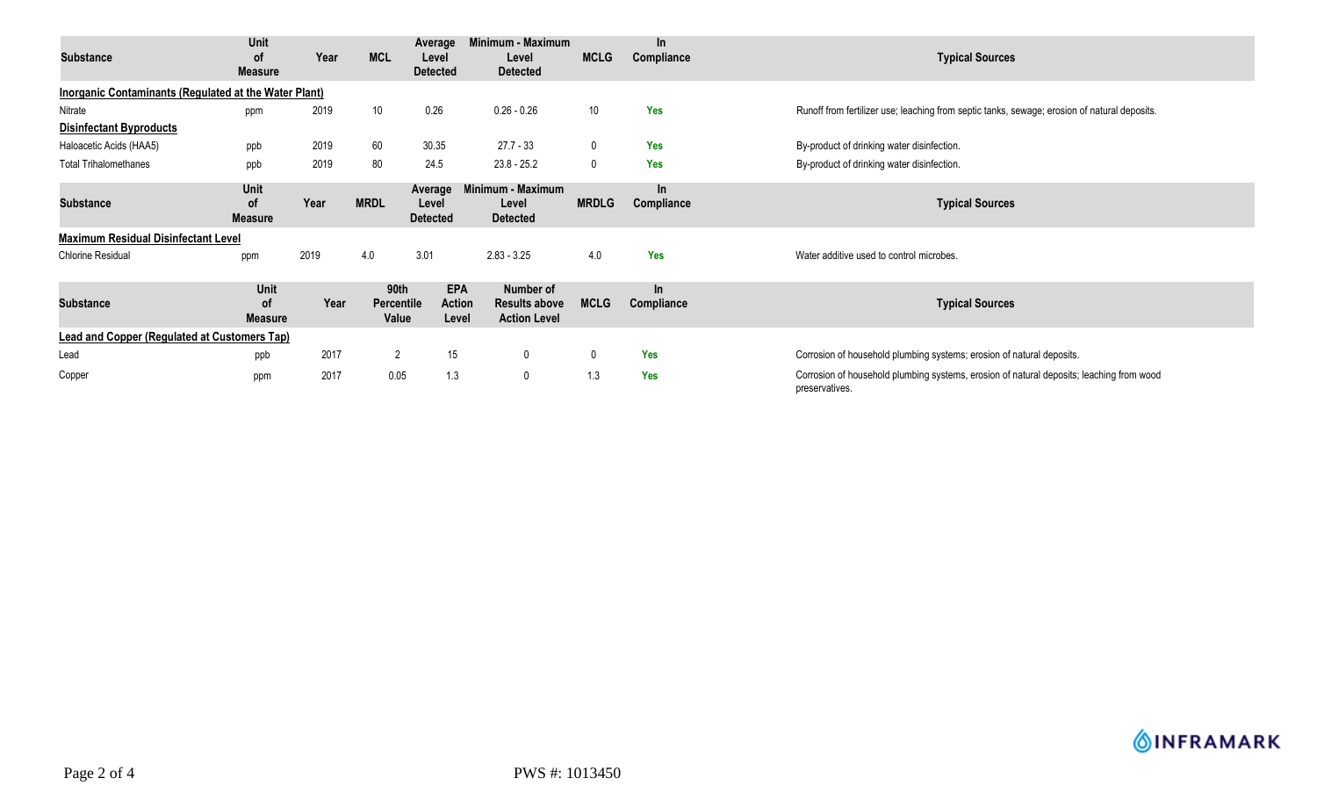| Substance                                                    | Unit<br><b>of</b><br><b>Measure</b> | Year | <b>MCL</b>                         | Average<br>Level<br><b>Detected</b> | Minimum - Maximum<br>Level<br><b>Detected</b>            | <b>MCLG</b>  | In.<br>Compliance   | <b>Typical Sources</b>                                                                                     |
|--------------------------------------------------------------|-------------------------------------|------|------------------------------------|-------------------------------------|----------------------------------------------------------|--------------|---------------------|------------------------------------------------------------------------------------------------------------|
| <b>Inorganic Contaminants (Regulated at the Water Plant)</b> |                                     |      |                                    |                                     |                                                          |              |                     |                                                                                                            |
| Nitrate                                                      | ppm                                 | 2019 | 10                                 | 0.26                                | $0.26 - 0.26$                                            | 10           | <b>Yes</b>          | Runoff from fertilizer use; leaching from septic tanks, sewage; erosion of natural deposits.               |
| <b>Disinfectant Byproducts</b>                               |                                     |      |                                    |                                     |                                                          |              |                     |                                                                                                            |
| Haloacetic Acids (HAA5)                                      | ppb                                 | 2019 | 60                                 | 30.35                               | 27.7 - 33                                                | $\mathbf 0$  | <b>Yes</b>          | By-product of drinking water disinfection.                                                                 |
| <b>Total Trihalomethanes</b>                                 | ppb                                 | 2019 | 80                                 | 24.5                                | $23.8 - 25.2$                                            | $\mathbf 0$  | <b>Yes</b>          | By-product of drinking water disinfection.                                                                 |
| <b>Substance</b>                                             | Unit<br><b>of</b><br><b>Measure</b> | Year | <b>MRDL</b>                        | Average<br>Level<br><b>Detected</b> | Minimum - Maximum<br>Level<br><b>Detected</b>            | <b>MRDLG</b> | $\ln$<br>Compliance | <b>Typical Sources</b>                                                                                     |
| <b>Maximum Residual Disinfectant Level</b>                   |                                     |      |                                    |                                     |                                                          |              |                     |                                                                                                            |
| <b>Chlorine Residual</b>                                     | ppm                                 | 2019 | 4.0                                | 3.01                                | $2.83 - 3.25$                                            | 4.0          | Yes                 | Water additive used to control microbes.                                                                   |
| <b>Substance</b>                                             | Unit<br>οf<br><b>Measure</b>        | Year | 90th<br><b>Percentile</b><br>Value | <b>EPA</b><br>Action<br>Level       | Number of<br><b>Results above</b><br><b>Action Level</b> | <b>MCLG</b>  | In<br>Compliance    | <b>Typical Sources</b>                                                                                     |
| <b>Lead and Copper (Regulated at Customers Tap)</b>          |                                     |      |                                    |                                     |                                                          |              |                     |                                                                                                            |
| Lead                                                         | ppb                                 | 2017 | $\mathbf{2}$                       | 15                                  | $\mathbf 0$                                              | 0            | <b>Yes</b>          | Corrosion of household plumbing systems; erosion of natural deposits.                                      |
| Copper                                                       | ppm                                 | 2017 | 0.05                               | 1.3                                 | 0                                                        | 1.3          | <b>Yes</b>          | Corrosion of household plumbing systems, erosion of natural deposits; leaching from wood<br>preservatives. |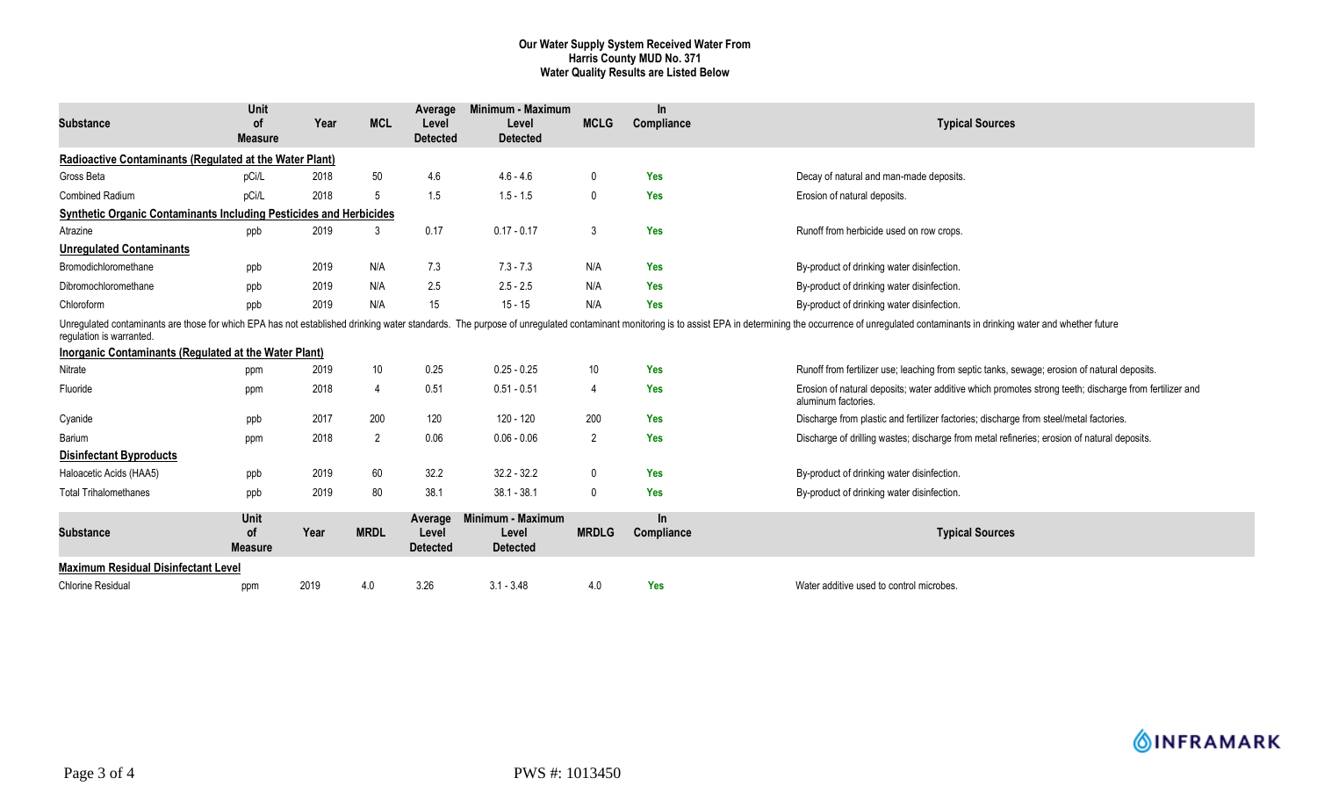#### **Our Water Supply System Received Water From Harris County MUD No. 371 Water Quality Results are Listed Below**

| <b>Substance</b>                                                                  | Unit<br>οf<br><b>Measure</b>        | Year | <b>MCL</b>     | Average<br>Level<br><b>Detected</b> | Minimum - Maximum<br>Level<br><b>Detected</b> | <b>MCLG</b>    | $\ln$<br>Compliance | <b>Typical Sources</b>                                                                                                                                                                                                         |
|-----------------------------------------------------------------------------------|-------------------------------------|------|----------------|-------------------------------------|-----------------------------------------------|----------------|---------------------|--------------------------------------------------------------------------------------------------------------------------------------------------------------------------------------------------------------------------------|
| Radioactive Contaminants (Regulated at the Water Plant)                           |                                     |      |                |                                     |                                               |                |                     |                                                                                                                                                                                                                                |
| Gross Beta                                                                        | pCi/L                               | 2018 | 50             | 4.6                                 | $4.6 - 4.6$                                   | 0              | <b>Yes</b>          | Decay of natural and man-made deposits.                                                                                                                                                                                        |
| <b>Combined Radium</b>                                                            | pCi/L                               | 2018 | $\overline{5}$ | 1.5                                 | $1.5 - 1.5$                                   | $\mathbf 0$    | Yes                 | Erosion of natural deposits.                                                                                                                                                                                                   |
| <b>Synthetic Organic Contaminants Including Pesticides and Herbicides</b>         |                                     |      |                |                                     |                                               |                |                     |                                                                                                                                                                                                                                |
| Atrazine                                                                          | ppb                                 | 2019 | 3              | 0.17                                | $0.17 - 0.17$                                 | 3              | Yes                 | Runoff from herbicide used on row crops.                                                                                                                                                                                       |
| <b>Unregulated Contaminants</b>                                                   |                                     |      |                |                                     |                                               |                |                     |                                                                                                                                                                                                                                |
| Bromodichloromethane                                                              | ppb                                 | 2019 | N/A            | 7.3                                 | $7.3 - 7.3$                                   | N/A            | Yes                 | By-product of drinking water disinfection.                                                                                                                                                                                     |
| Dibromochloromethane                                                              | ppb                                 | 2019 | N/A            | 2.5                                 | $2.5 - 2.5$                                   | N/A            | <b>Yes</b>          | By-product of drinking water disinfection.                                                                                                                                                                                     |
| Chloroform                                                                        | ppb                                 | 2019 | N/A            | 15                                  | $15 - 15$                                     | N/A            | Yes                 | By-product of drinking water disinfection.                                                                                                                                                                                     |
| regulation is warranted.<br>Inorganic Contaminants (Regulated at the Water Plant) |                                     |      |                |                                     |                                               |                |                     | Unregulated contaminants are those for which EPA has not established drinking water standards. The purpose of unregulated contaminant monitoring is to assist EPA in determining the occurrence of unregulated contaminants in |
| Nitrate                                                                           | ppm                                 | 2019 | 10             | 0.25                                | $0.25 - 0.25$                                 | 10             | Yes                 | Runoff from fertilizer use; leaching from septic tanks, sewage; erosion of natural deposits.                                                                                                                                   |
| Fluoride                                                                          | ppm                                 | 2018 | 4              | 0.51                                | $0.51 - 0.51$                                 | 4              | <b>Yes</b>          | Erosion of natural deposits; water additive which promotes strong teeth; discharge from fertilizer and<br>aluminum factories.                                                                                                  |
| Cyanide                                                                           | ppb                                 | 2017 | 200            | 120                                 | 120 - 120                                     | 200            | Yes                 | Discharge from plastic and fertilizer factories; discharge from steel/metal factories.                                                                                                                                         |
| Barium                                                                            | ppm                                 | 2018 | $\overline{2}$ | 0.06                                | $0.06 - 0.06$                                 | $\overline{2}$ | Yes                 | Discharge of drilling wastes; discharge from metal refineries; erosion of natural deposits.                                                                                                                                    |
| <b>Disinfectant Byproducts</b>                                                    |                                     |      |                |                                     |                                               |                |                     |                                                                                                                                                                                                                                |
| Haloacetic Acids (HAA5)                                                           | ppb                                 | 2019 | 60             | 32.2                                | $32.2 - 32.2$                                 | 0              | Yes                 | By-product of drinking water disinfection.                                                                                                                                                                                     |
| <b>Total Trihalomethanes</b>                                                      | ppb                                 | 2019 | 80             | 38.1                                | $38.1 - 38.1$                                 | $\mathbf{0}$   | Yes                 | By-product of drinking water disinfection.                                                                                                                                                                                     |
| <b>Substance</b>                                                                  | Unit<br><b>of</b><br><b>Measure</b> | Year | <b>MRDL</b>    | Average<br>Level<br><b>Detected</b> | Minimum - Maximum<br>Level<br><b>Detected</b> | <b>MRDLG</b>   | $\ln$<br>Compliance | <b>Typical Sources</b>                                                                                                                                                                                                         |
| <b>Maximum Residual Disinfectant Level</b>                                        |                                     |      |                |                                     |                                               |                |                     |                                                                                                                                                                                                                                |
| <b>Chlorine Residual</b>                                                          | ppm                                 | 2019 | 4.0            | 3.26                                | $3.1 - 3.48$                                  | 4.0            | Yes                 | Water additive used to control microbes.                                                                                                                                                                                       |